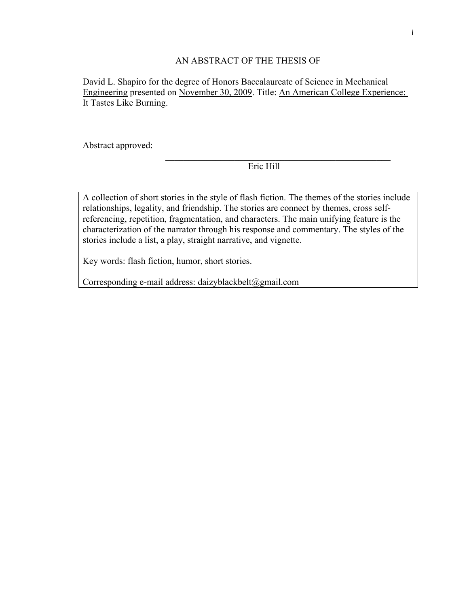### AN ABSTRACT OF THE THESIS OF

## David L. Shapiro for the degree of Honors Baccalaureate of Science in Mechanical Engineering presented on November 30, 2009. Title: An American College Experience: It Tastes Like Burning.

Abstract approved:

Eric Hill

 $\mathcal{L}_\text{max}$  and the contract of the contract of the contract of the contract of the contract of the contract of the contract of the contract of the contract of the contract of the contract of the contract of the contrac

A collection of short stories in the style of flash fiction. The themes of the stories include relationships, legality, and friendship. The stories are connect by themes, cross selfreferencing, repetition, fragmentation, and characters. The main unifying feature is the characterization of the narrator through his response and commentary. The styles of the stories include a list, a play, straight narrative, and vignette.

Key words: flash fiction, humor, short stories.

Corresponding e-mail address: daizyblackbelt@gmail.com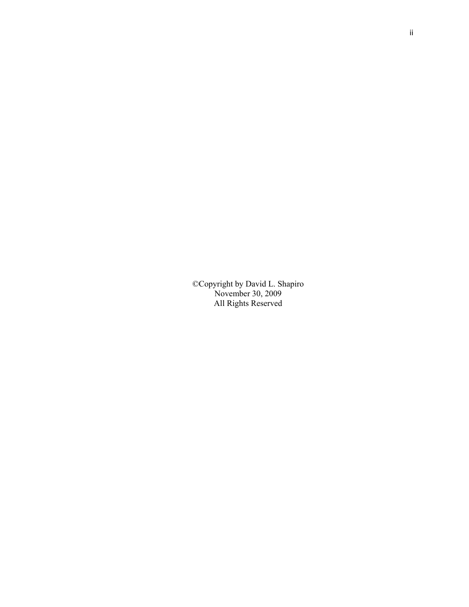©Copyright by David L. Shapiro November 30, 2009 All Rights Reserved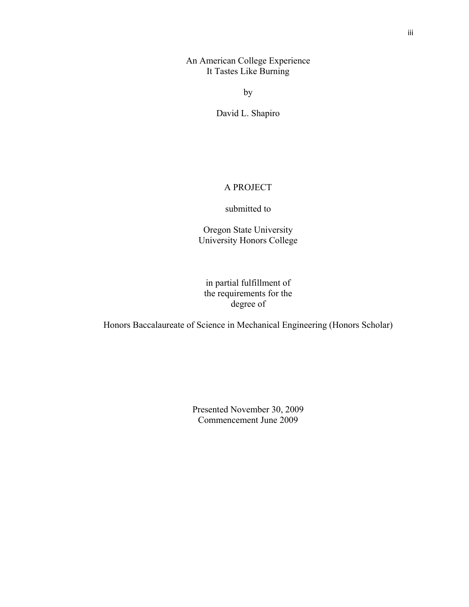An American College Experience It Tastes Like Burning

by

David L. Shapiro

### A PROJECT

#### submitted to

Oregon State University University Honors College

in partial fulfillment of the requirements for the degree of

Honors Baccalaureate of Science in Mechanical Engineering (Honors Scholar)

Presented November 30, 2009 Commencement June 2009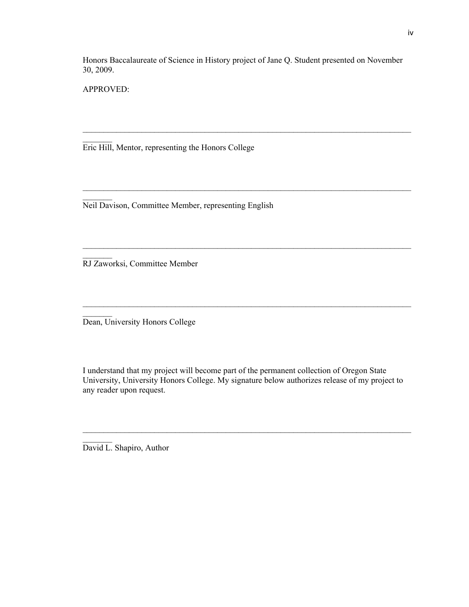Honors Baccalaureate of Science in History project of Jane Q. Student presented on November 30, 2009.

 $\mathcal{L}_\mathcal{L} = \{ \mathcal{L}_\mathcal{L} = \{ \mathcal{L}_\mathcal{L} = \{ \mathcal{L}_\mathcal{L} = \{ \mathcal{L}_\mathcal{L} = \{ \mathcal{L}_\mathcal{L} = \{ \mathcal{L}_\mathcal{L} = \{ \mathcal{L}_\mathcal{L} = \{ \mathcal{L}_\mathcal{L} = \{ \mathcal{L}_\mathcal{L} = \{ \mathcal{L}_\mathcal{L} = \{ \mathcal{L}_\mathcal{L} = \{ \mathcal{L}_\mathcal{L} = \{ \mathcal{L}_\mathcal{L} = \{ \mathcal{L}_\mathcal{$ 

 $\mathcal{L}_\mathcal{L} = \{ \mathcal{L}_\mathcal{L} = \{ \mathcal{L}_\mathcal{L} = \{ \mathcal{L}_\mathcal{L} = \{ \mathcal{L}_\mathcal{L} = \{ \mathcal{L}_\mathcal{L} = \{ \mathcal{L}_\mathcal{L} = \{ \mathcal{L}_\mathcal{L} = \{ \mathcal{L}_\mathcal{L} = \{ \mathcal{L}_\mathcal{L} = \{ \mathcal{L}_\mathcal{L} = \{ \mathcal{L}_\mathcal{L} = \{ \mathcal{L}_\mathcal{L} = \{ \mathcal{L}_\mathcal{L} = \{ \mathcal{L}_\mathcal{$ 

 $\mathcal{L}_\mathcal{L} = \{ \mathcal{L}_\mathcal{L} = \{ \mathcal{L}_\mathcal{L} = \{ \mathcal{L}_\mathcal{L} = \{ \mathcal{L}_\mathcal{L} = \{ \mathcal{L}_\mathcal{L} = \{ \mathcal{L}_\mathcal{L} = \{ \mathcal{L}_\mathcal{L} = \{ \mathcal{L}_\mathcal{L} = \{ \mathcal{L}_\mathcal{L} = \{ \mathcal{L}_\mathcal{L} = \{ \mathcal{L}_\mathcal{L} = \{ \mathcal{L}_\mathcal{L} = \{ \mathcal{L}_\mathcal{L} = \{ \mathcal{L}_\mathcal{$ 

APPROVED:

 $\mathcal{L}_\text{max}$ 

 $\mathcal{L}_\text{max}$ 

 $\mathcal{L}_\text{max}$ 

 $\frac{1}{2}$ 

Eric Hill, Mentor, representing the Honors College

Neil Davison, Committee Member, representing English

RJ Zaworksi, Committee Member

Dean, University Honors College

I understand that my project will become part of the permanent collection of Oregon State University, University Honors College. My signature below authorizes release of my project to any reader upon request.

 $\mathcal{L}_\mathcal{L} = \{ \mathcal{L}_\mathcal{L} = \{ \mathcal{L}_\mathcal{L} = \{ \mathcal{L}_\mathcal{L} = \{ \mathcal{L}_\mathcal{L} = \{ \mathcal{L}_\mathcal{L} = \{ \mathcal{L}_\mathcal{L} = \{ \mathcal{L}_\mathcal{L} = \{ \mathcal{L}_\mathcal{L} = \{ \mathcal{L}_\mathcal{L} = \{ \mathcal{L}_\mathcal{L} = \{ \mathcal{L}_\mathcal{L} = \{ \mathcal{L}_\mathcal{L} = \{ \mathcal{L}_\mathcal{L} = \{ \mathcal{L}_\mathcal{$ 

David L. Shapiro, Author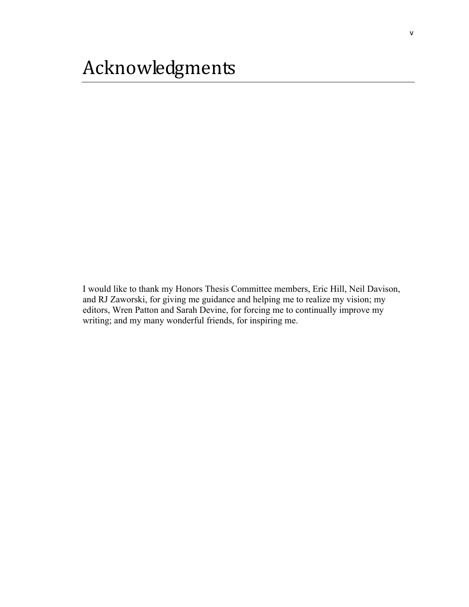I would like to thank my Honors Thesis Committee members, Eric Hill, Neil Davison, and RJ Zaworski, for giving me guidance and helping me to realize my vision; my editors, Wren Patton and Sarah Devine, for forcing me to continually improve my writing; and my many wonderful friends, for inspiring me.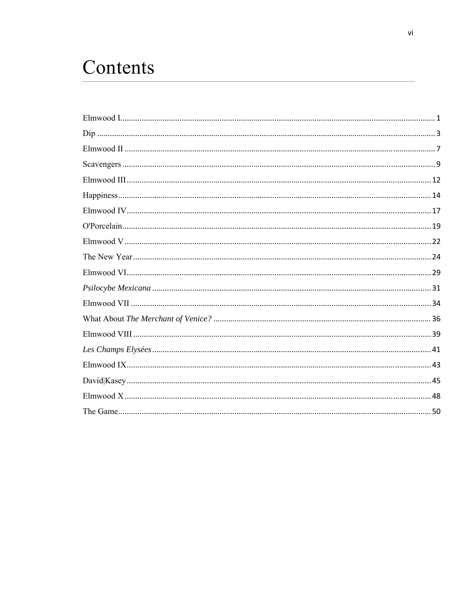# Contents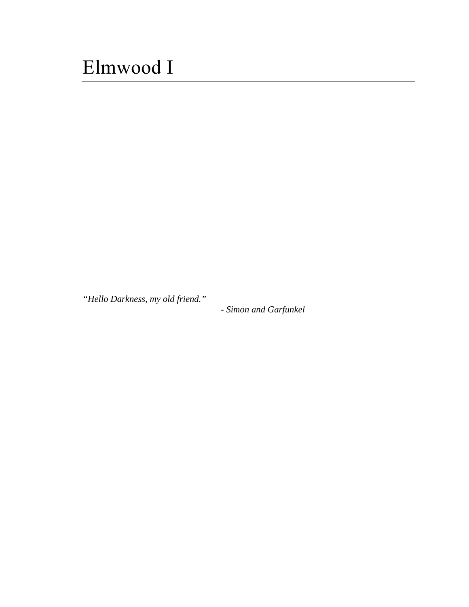# <span id="page-6-0"></span>Elmwood I

*"Hello Darkness, my old friend."* 

*- Simon and Garfunkel*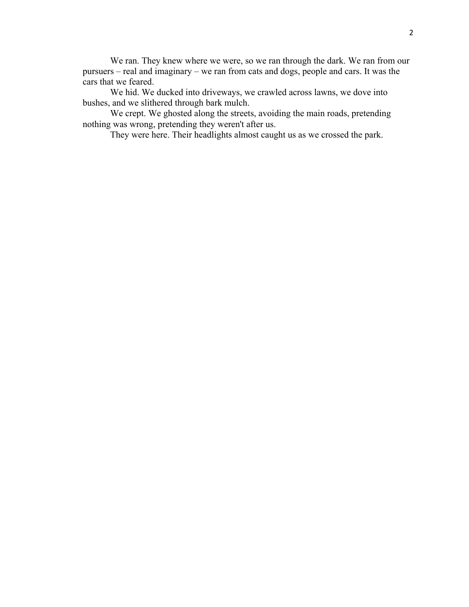We ran. They knew where we were, so we ran through the dark. We ran from our pursuers – real and imaginary – we ran from cats and dogs, people and cars. It was the cars that we feared.

 We hid. We ducked into driveways, we crawled across lawns, we dove into bushes, and we slithered through bark mulch.

 We crept. We ghosted along the streets, avoiding the main roads, pretending nothing was wrong, pretending they weren't after us.

They were here. Their headlights almost caught us as we crossed the park.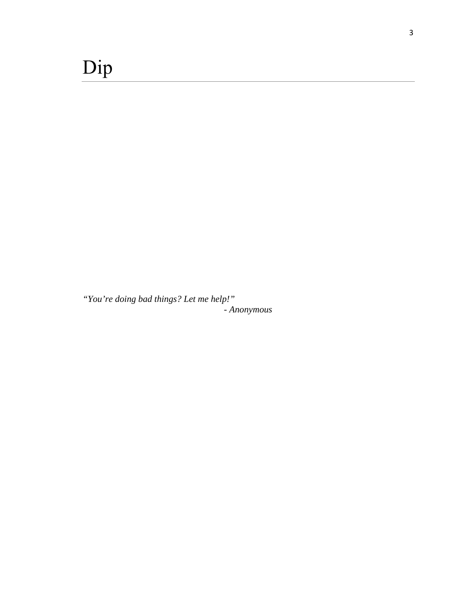<span id="page-8-0"></span>*"You're doing bad things? Let me help!" - Anonymous*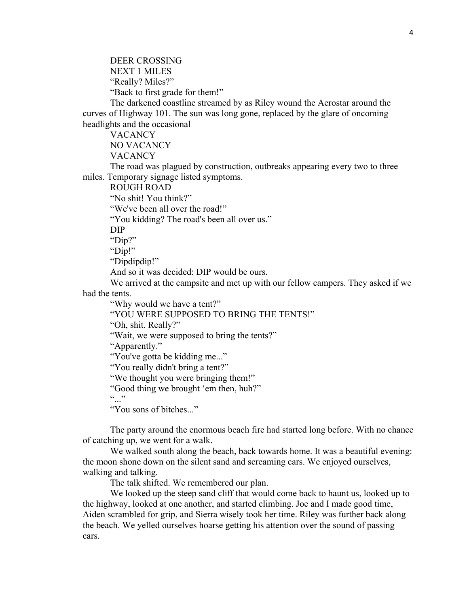DEER CROSSING NEXT 1 MILES "Really? Miles?" "Back to first grade for them!"

 The darkened coastline streamed by as Riley wound the Aerostar around the curves of Highway 101. The sun was long gone, replaced by the glare of oncoming headlights and the occasional

VACANCY

NO VACANCY

**VACANCY** 

 The road was plagued by construction, outbreaks appearing every two to three miles. Temporary signage listed symptoms.

ROUGH ROAD

"No shit! You think?"

"We've been all over the road!"

"You kidding? The road's been all over us."

DIP

"Dip?"

"Dip!"

"Dipdipdip!"

And so it was decided: DIP would be ours.

 We arrived at the campsite and met up with our fellow campers. They asked if we had the tents.

"Why would we have a tent?"

"YOU WERE SUPPOSED TO BRING THE TENTS!"

"Oh, shit. Really?"

"Wait, we were supposed to bring the tents?"

"Apparently."

"You've gotta be kidding me..."

"You really didn't bring a tent?"

"We thought you were bringing them!"

"Good thing we brought 'em then, huh?"

 $(0, 0)$ 

"You sons of bitches..."

 The party around the enormous beach fire had started long before. With no chance of catching up, we went for a walk.

We walked south along the beach, back towards home. It was a beautiful evening: the moon shone down on the silent sand and screaming cars. We enjoyed ourselves, walking and talking.

The talk shifted. We remembered our plan.

 We looked up the steep sand cliff that would come back to haunt us, looked up to the highway, looked at one another, and started climbing. Joe and I made good time, Aiden scrambled for grip, and Sierra wisely took her time. Riley was further back along the beach. We yelled ourselves hoarse getting his attention over the sound of passing cars.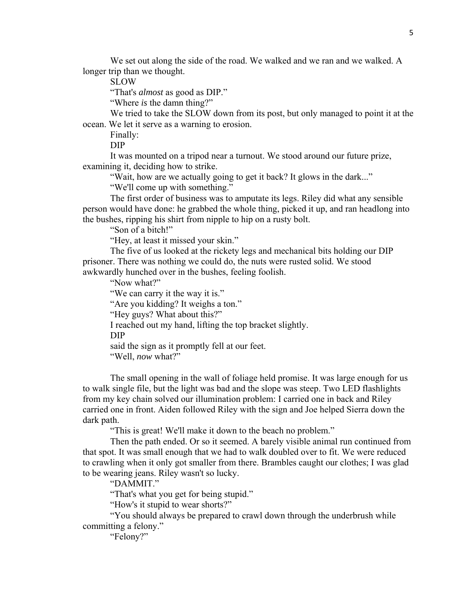We set out along the side of the road. We walked and we ran and we walked. A longer trip than we thought.

SLOW

"That's *almost* as good as DIP."

"Where *is* the damn thing?"

 We tried to take the SLOW down from its post, but only managed to point it at the ocean. We let it serve as a warning to erosion.

Finally:

DIP

 It was mounted on a tripod near a turnout. We stood around our future prize, examining it, deciding how to strike.

"Wait, how are we actually going to get it back? It glows in the dark..."

"We'll come up with something."

 The first order of business was to amputate its legs. Riley did what any sensible person would have done: he grabbed the whole thing, picked it up, and ran headlong into the bushes, ripping his shirt from nipple to hip on a rusty bolt.

"Son of a bitch!"

"Hey, at least it missed your skin."

 The five of us looked at the rickety legs and mechanical bits holding our DIP prisoner. There was nothing we could do, the nuts were rusted solid. We stood awkwardly hunched over in the bushes, feeling foolish.

"Now what?"

"We can carry it the way it is."

"Are you kidding? It weighs a ton."

"Hey guys? What about this?"

I reached out my hand, lifting the top bracket slightly.

DIP

said the sign as it promptly fell at our feet.

"Well, *now* what?"

 The small opening in the wall of foliage held promise. It was large enough for us to walk single file, but the light was bad and the slope was steep. Two LED flashlights from my key chain solved our illumination problem: I carried one in back and Riley carried one in front. Aiden followed Riley with the sign and Joe helped Sierra down the dark path.

"This is great! We'll make it down to the beach no problem."

 Then the path ended. Or so it seemed. A barely visible animal run continued from that spot. It was small enough that we had to walk doubled over to fit. We were reduced to crawling when it only got smaller from there. Brambles caught our clothes; I was glad to be wearing jeans. Riley wasn't so lucky.

"DAMMIT."

"That's what you get for being stupid."

"How's it stupid to wear shorts?"

 "You should always be prepared to crawl down through the underbrush while committing a felony."

"Felony?"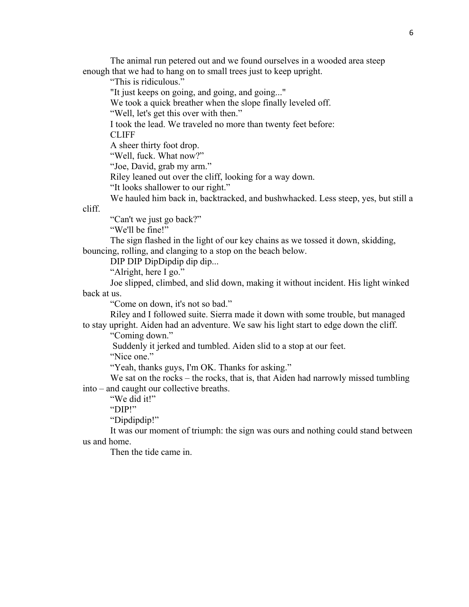The animal run petered out and we found ourselves in a wooded area steep enough that we had to hang on to small trees just to keep upright.

"This is ridiculous."

"It just keeps on going, and going, and going..."

We took a quick breather when the slope finally leveled off.

"Well, let's get this over with then."

I took the lead. We traveled no more than twenty feet before:

CLIFF

A sheer thirty foot drop.

"Well, fuck. What now?"

"Joe, David, grab my arm."

Riley leaned out over the cliff, looking for a way down.

"It looks shallower to our right."

We hauled him back in, backtracked, and bushwhacked. Less steep, yes, but still a

cliff.

"Can't we just go back?"

"We'll be fine!"

 The sign flashed in the light of our key chains as we tossed it down, skidding, bouncing, rolling, and clanging to a stop on the beach below.

DIP DIP DipDipdip dip dip...

"Alright, here I go."

 Joe slipped, climbed, and slid down, making it without incident. His light winked back at us.

"Come on down, it's not so bad."

 Riley and I followed suite. Sierra made it down with some trouble, but managed to stay upright. Aiden had an adventure. We saw his light start to edge down the cliff.

"Coming down."

Suddenly it jerked and tumbled. Aiden slid to a stop at our feet.

"Nice one."

"Yeah, thanks guys, I'm OK. Thanks for asking."

We sat on the rocks – the rocks, that is, that Aiden had narrowly missed tumbling into – and caught our collective breaths.

"We did it!"

"DIP!"

"Dipdipdip!"

 It was our moment of triumph: the sign was ours and nothing could stand between us and home.

Then the tide came in.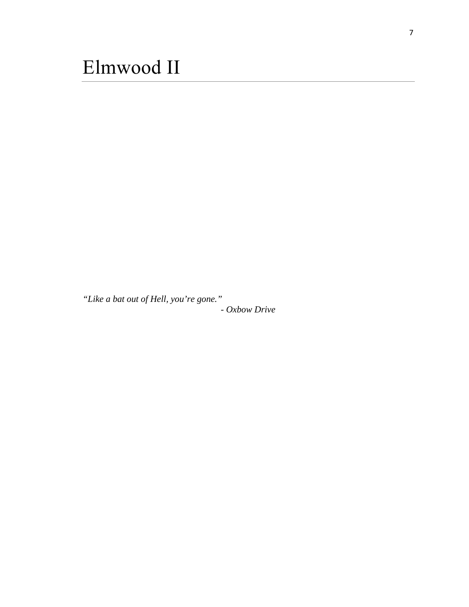<span id="page-12-0"></span>*"Like a bat out of Hell, you're gone." - Oxbow Drive*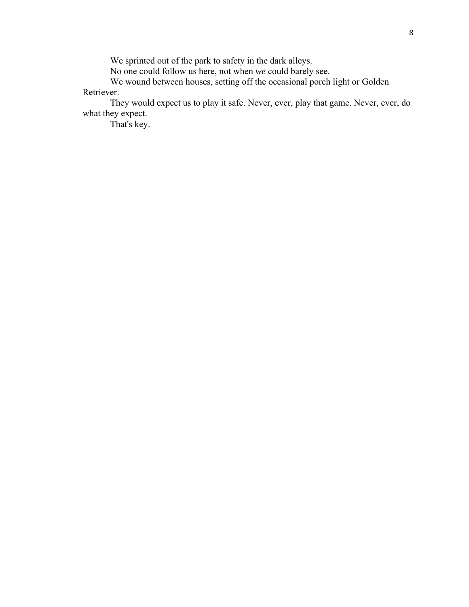We sprinted out of the park to safety in the dark alleys.

No one could follow us here, not when *we* could barely see.

We wound between houses, setting off the occasional porch light or Golden Retriever.

 They would expect us to play it safe. Never, ever, play that game. Never, ever, do what they expect.

That's key.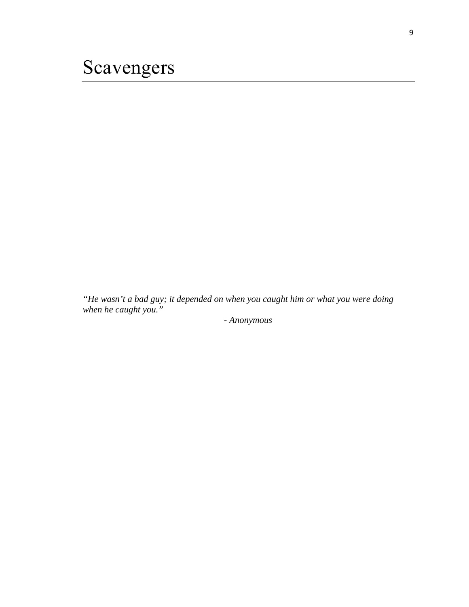<span id="page-14-0"></span>*"He wasn't a bad guy; it depended on when you caught him or what you were doing when he caught you."* 

*- Anonymous*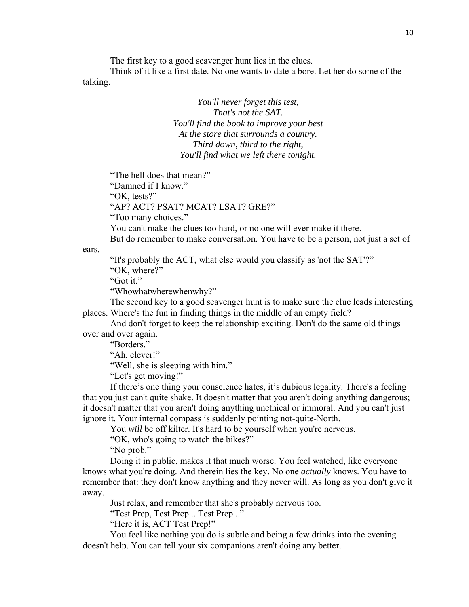The first key to a good scavenger hunt lies in the clues.

 Think of it like a first date. No one wants to date a bore. Let her do some of the talking.

> *You'll never forget this test, That's not the SAT. You'll find the book to improve your best At the store that surrounds a country. Third down, third to the right, You'll find what we left there tonight.*

"The hell does that mean?"

"Damned if I know."

"OK, tests?"

"AP? ACT? PSAT? MCAT? LSAT? GRE?"

"Too many choices."

You can't make the clues too hard, or no one will ever make it there.

But do remember to make conversation. You have to be a person, not just a set of

"It's probably the ACT, what else would you classify as 'not the SAT'?"

"OK, where?"

"Got it."

ears.

"Whowhatwherewhenwhy?"

 The second key to a good scavenger hunt is to make sure the clue leads interesting places. Where's the fun in finding things in the middle of an empty field?

 And don't forget to keep the relationship exciting. Don't do the same old things over and over again.

"Borders."

"Ah, clever!"

"Well, she is sleeping with him."

"Let's get moving!"

 If there's one thing your conscience hates, it's dubious legality. There's a feeling that you just can't quite shake. It doesn't matter that you aren't doing anything dangerous; it doesn't matter that you aren't doing anything unethical or immoral. And you can't just ignore it. Your internal compass is suddenly pointing not-quite-North.

You *will* be off kilter. It's hard to be yourself when you're nervous.

"OK, who's going to watch the bikes?"

"No prob."

 Doing it in public, makes it that much worse. You feel watched, like everyone knows what you're doing. And therein lies the key. No one *actually* knows. You have to remember that: they don't know anything and they never will. As long as you don't give it away.

Just relax, and remember that she's probably nervous too.

"Test Prep, Test Prep... Test Prep..."

"Here it is, ACT Test Prep!"

 You feel like nothing you do is subtle and being a few drinks into the evening doesn't help. You can tell your six companions aren't doing any better.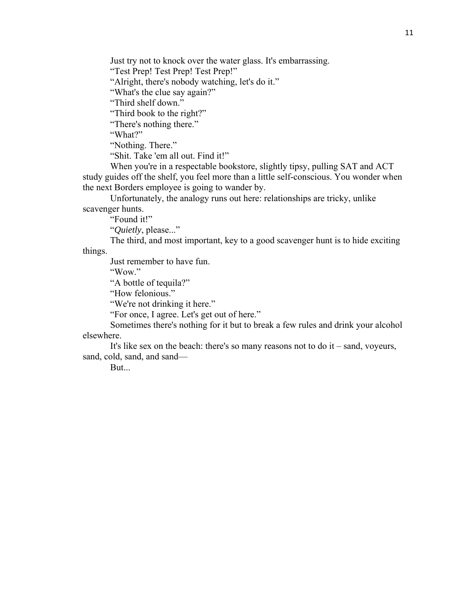Just try not to knock over the water glass. It's embarrassing.

"Test Prep! Test Prep! Test Prep!"

"Alright, there's nobody watching, let's do it."

"What's the clue say again?"

"Third shelf down."

"Third book to the right?"

"There's nothing there."

"What?"

"Nothing. There."

"Shit. Take 'em all out. Find it!"

 When you're in a respectable bookstore, slightly tipsy, pulling SAT and ACT study guides off the shelf, you feel more than a little self-conscious. You wonder when the next Borders employee is going to wander by.

 Unfortunately, the analogy runs out here: relationships are tricky, unlike scavenger hunts.

"Found it!"

"*Quietly*, please..."

 The third, and most important, key to a good scavenger hunt is to hide exciting things.

Just remember to have fun.

"Wow."

"A bottle of tequila?"

"How felonious."

"We're not drinking it here."

"For once, I agree. Let's get out of here."

 Sometimes there's nothing for it but to break a few rules and drink your alcohol elsewhere.

It's like sex on the beach: there's so many reasons not to do  $it$  – sand, voyeurs, sand, cold, sand, and sand—

But...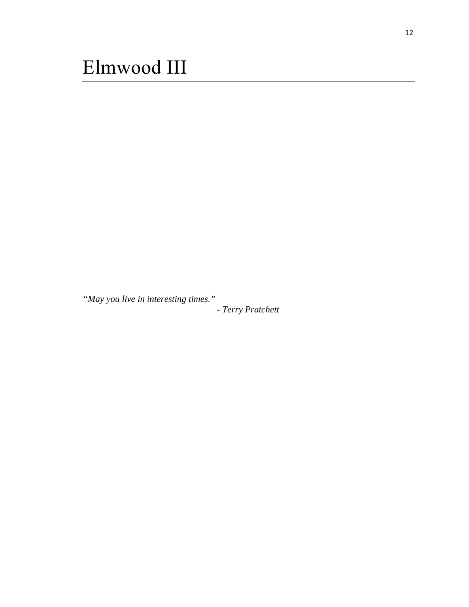<span id="page-17-0"></span>*"May you live in interesting times."* 

*- Terry Pratchett*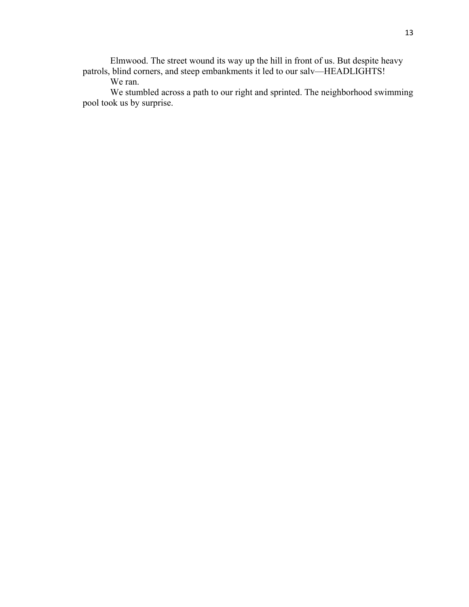Elmwood. The street wound its way up the hill in front of us. But despite heavy patrols, blind corners, and steep embankments it led to our salv—HEADLIGHTS!

We ran.

 We stumbled across a path to our right and sprinted. The neighborhood swimming pool took us by surprise.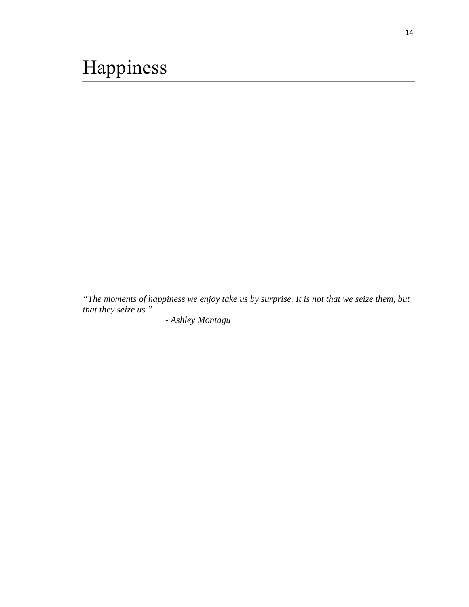<span id="page-19-0"></span>*"The moments of happiness we enjoy take us by surprise. It is not that we seize them, but that they seize us."* 

*- Ashley Montagu*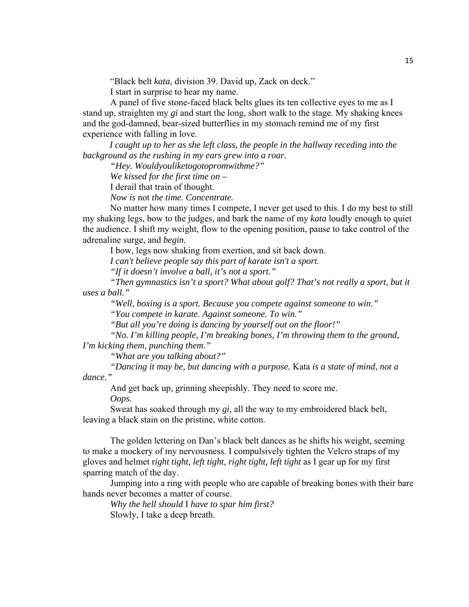"Black belt *kata*, division 39. David up, Zack on deck."

I start in surprise to hear my name.

A panel of five stone-faced black belts glues its ten collective eyes to me as I stand up, straighten my *gi* and start the long, short walk to the stage. My shaking knees and the god-damned, bear-sized butterflies in my stomach remind me of my first experience with falling in love.

 *I caught up to her as she left class, the people in the hallway receding into the background as the rushing in my ears grew into a roar.* 

 *"Hey. Wouldyouliketogotopromwithme?"* 

 *We kissed for the first time on –* 

I derail that train of thought.

 *Now is* not *the time. Concentrate.* 

 No matter how many times I compete, I never get used to this. I do my best to still my shaking legs, bow to the judges, and bark the name of my *kata* loudly enough to quiet the audience. I shift my weight, flow to the opening position, pause to take control of the adrenaline surge, and *begin.* 

I bow, legs now shaking from exertion, and sit back down.

 *I can't believe people say this part of karate isn't a sport.* 

 *"If it doesn't involve a ball, it's not a sport."* 

 *"Then gymnastics isn't a sport? What about golf? That's not really a sport, but it uses a ball."* 

 *"Well, boxing is a sport. Because you compete against someone to win."* 

 *"You compete in karate. Against someone. To win."* 

 *"But all you're doing is dancing by yourself out on the floor!"* 

 *"No. I'm killing people, I'm breaking bones, I'm throwing them to the ground, I'm kicking them, punching them."* 

 *"What are you talking about?"* 

 *"Dancing it may be, but dancing with a purpose.* Kata *is a state of mind, not a dance."* 

And get back up, grinning sheepishly. They need to score me.

 *Oops.* 

 Sweat has soaked through my *gi*, all the way to my embroidered black belt, leaving a black stain on the pristine, white cotton.

 The golden lettering on Dan's black belt dances as he shifts his weight, seeming to make a mockery of my nervousness. I compulsively tighten the Velcro straps of my gloves and helmet r*ight tight, left tight, right tight, left tight* as I gear up for my first sparring match of the day.

 Jumping into a ring with people who are capable of breaking bones with their bare hands never becomes a matter of course.

*Why the hell should* I *have to spar him first?*  Slowly, I take a deep breath.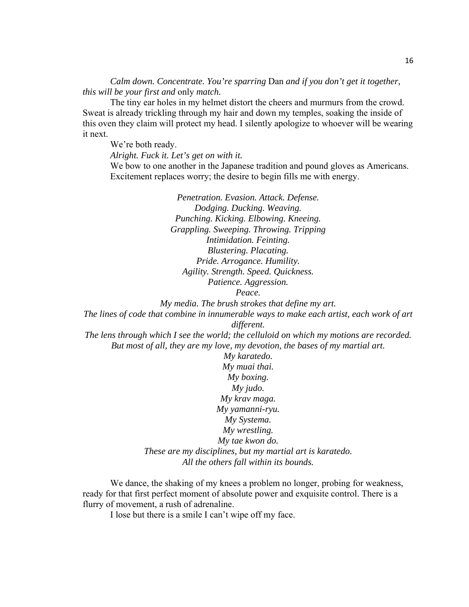*Calm down. Concentrate. You're sparring* Dan *and if you don't get it together, this will be your first and* only *match.* 

The tiny ear holes in my helmet distort the cheers and murmurs from the crowd. Sweat is already trickling through my hair and down my temples, soaking the inside of this oven they claim will protect my head. I silently apologize to whoever will be wearing it next.

We're both ready.

 *Alright. Fuck it. Let's get on with it.*  We bow to one another in the Japanese tradition and pound gloves as Americans. Excitement replaces worry; the desire to begin fills me with energy.

> *Penetration. Evasion. Attack. Defense. Dodging. Ducking. Weaving. Punching. Kicking. Elbowing. Kneeing. Grappling. Sweeping. Throwing. Tripping Intimidation. Feinting. Blustering. Placating. Pride. Arrogance. Humility. Agility. Strength. Speed. Quickness. Patience. Aggression.*

*Peace.* 

*My media. The brush strokes that define my art.* 

*The lines of code that combine in innumerable ways to make each artist, each work of art different.* 

*The lens through which I see the world; the celluloid on which my motions are recorded. But most of all, they are my love, my devotion, the bases of my martial art.* 

> *My karatedo. My muai thai. My boxing. My judo. My krav maga. My yamanni-ryu. My Systema. My wrestling. My tae kwon do. These are my disciplines, but my martial art is karatedo. All the others fall within its bounds.*

 We dance, the shaking of my knees a problem no longer, probing for weakness, ready for that first perfect moment of absolute power and exquisite control. There is a flurry of movement, a rush of adrenaline.

I lose but there is a smile I can't wipe off my face.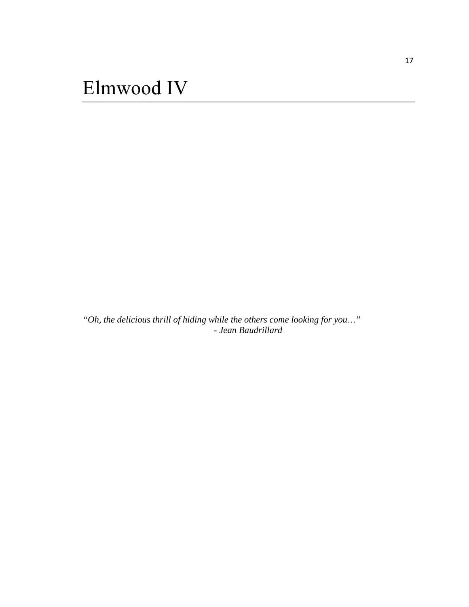<span id="page-22-0"></span>*"Oh, the delicious thrill of hiding while the others come looking for you…" - Jean Baudrillard*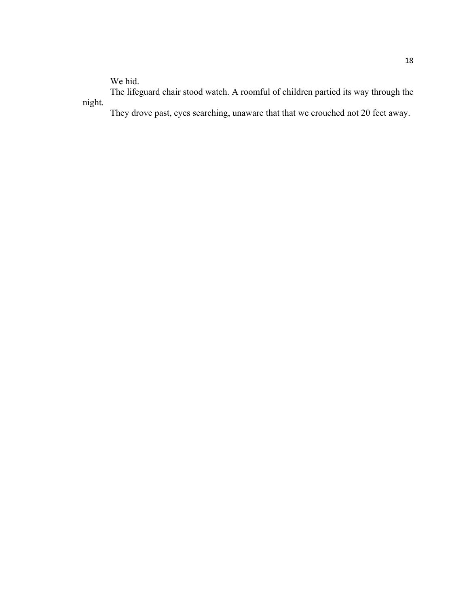We hid.

The lifeguard chair stood watch. A roomful of children partied its way through the night.

They drove past, eyes searching, unaware that that we crouched not 20 feet away.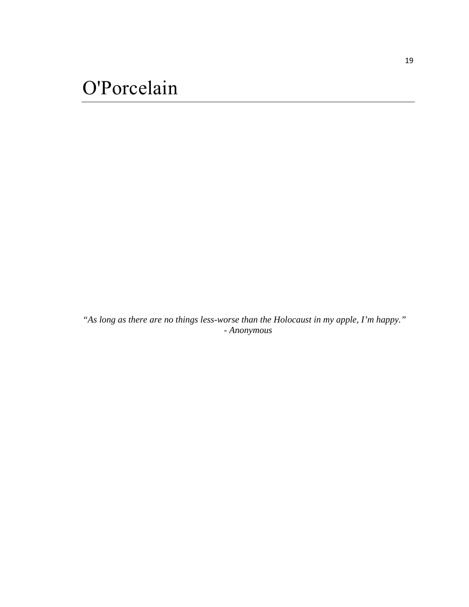<span id="page-24-0"></span>*"As long as there are no things less-worse than the Holocaust in my apple, I'm happy." - Anonymous*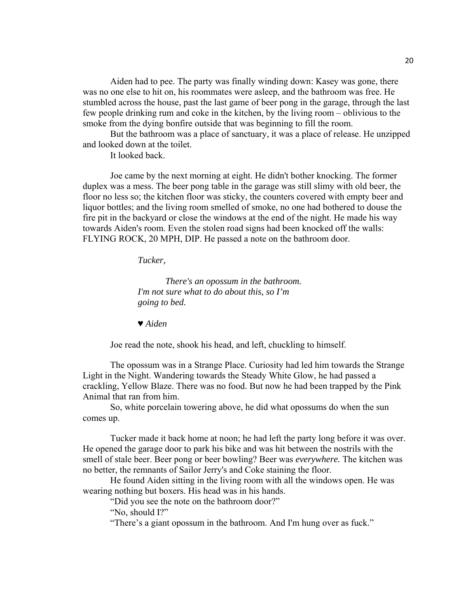Aiden had to pee. The party was finally winding down: Kasey was gone, there was no one else to hit on, his roommates were asleep, and the bathroom was free. He stumbled across the house, past the last game of beer pong in the garage, through the last few people drinking rum and coke in the kitchen, by the living room – oblivious to the smoke from the dying bonfire outside that was beginning to fill the room.

 But the bathroom was a place of sanctuary, it was a place of release. He unzipped and looked down at the toilet.

It looked back.

 Joe came by the next morning at eight. He didn't bother knocking. The former duplex was a mess. The beer pong table in the garage was still slimy with old beer, the floor no less so; the kitchen floor was sticky, the counters covered with empty beer and liquor bottles; and the living room smelled of smoke, no one had bothered to douse the fire pit in the backyard or close the windows at the end of the night. He made his way towards Aiden's room. Even the stolen road signs had been knocked off the walls: FLYING ROCK, 20 MPH, DIP. He passed a note on the bathroom door.

*Tucker,* 

 *There's an opossum in the bathroom. I'm not sure what to do about this, so I'm going to bed.* 

♥ *Aiden* 

Joe read the note, shook his head, and left, chuckling to himself.

 The opossum was in a Strange Place. Curiosity had led him towards the Strange Light in the Night. Wandering towards the Steady White Glow, he had passed a crackling, Yellow Blaze. There was no food. But now he had been trapped by the Pink Animal that ran from him.

 So, white porcelain towering above, he did what opossums do when the sun comes up.

 Tucker made it back home at noon; he had left the party long before it was over. He opened the garage door to park his bike and was hit between the nostrils with the smell of stale beer. Beer pong or beer bowling? Beer was *everywhere.* The kitchen was no better, the remnants of Sailor Jerry's and Coke staining the floor.

 He found Aiden sitting in the living room with all the windows open. He was wearing nothing but boxers. His head was in his hands.

"Did you see the note on the bathroom door?"

"No, should I?"

"There's a giant opossum in the bathroom. And I'm hung over as fuck."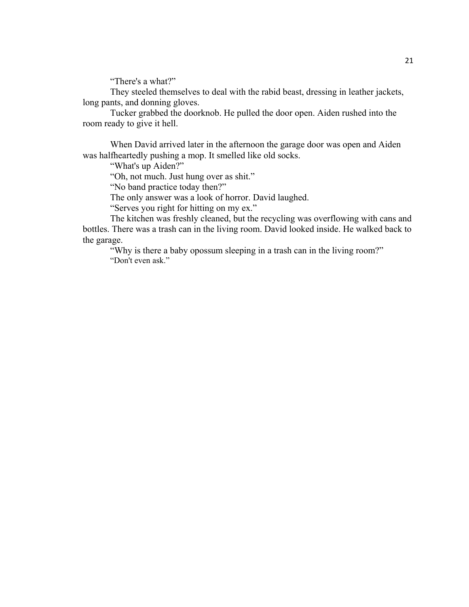"There's a what?"

 They steeled themselves to deal with the rabid beast, dressing in leather jackets, long pants, and donning gloves.

 Tucker grabbed the doorknob. He pulled the door open. Aiden rushed into the room ready to give it hell.

 When David arrived later in the afternoon the garage door was open and Aiden was halfheartedly pushing a mop. It smelled like old socks.

"What's up Aiden?"

"Oh, not much. Just hung over as shit."

"No band practice today then?"

The only answer was a look of horror. David laughed.

"Serves you right for hitting on my ex."

 The kitchen was freshly cleaned, but the recycling was overflowing with cans and bottles. There was a trash can in the living room. David looked inside. He walked back to the garage.

 "Why is there a baby opossum sleeping in a trash can in the living room?" "Don't even ask."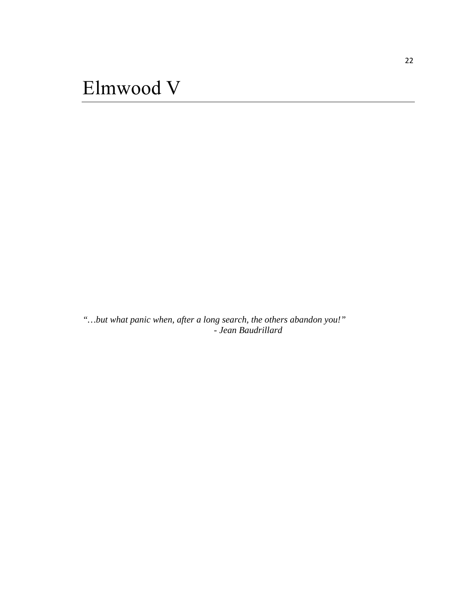<span id="page-27-0"></span>*"…but what panic when, after a long search, the others abandon you!" - Jean Baudrillard*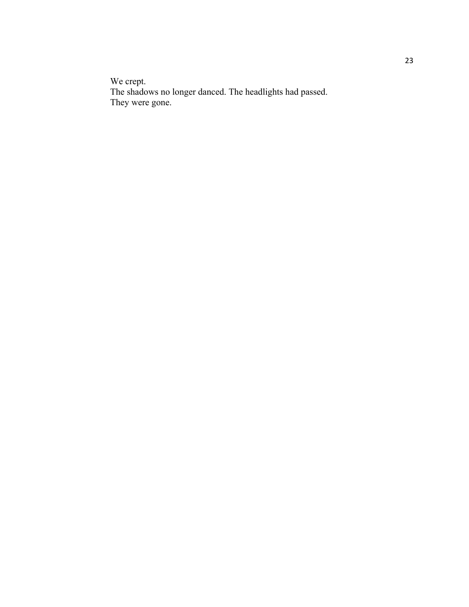We crept. The shadows no longer danced. The headlights had passed. They were gone.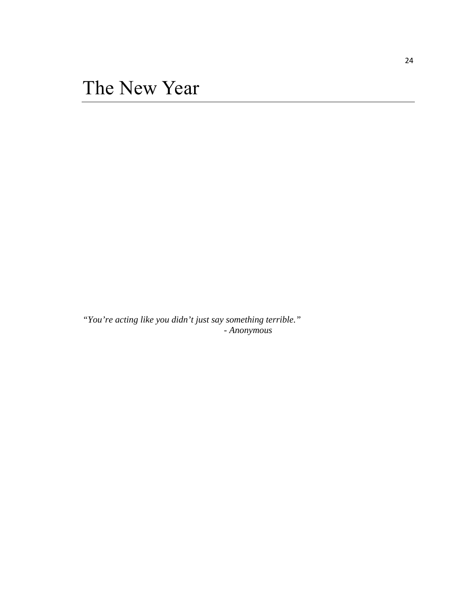<span id="page-29-0"></span>*"You're acting like you didn't just say something terrible." - Anonymous*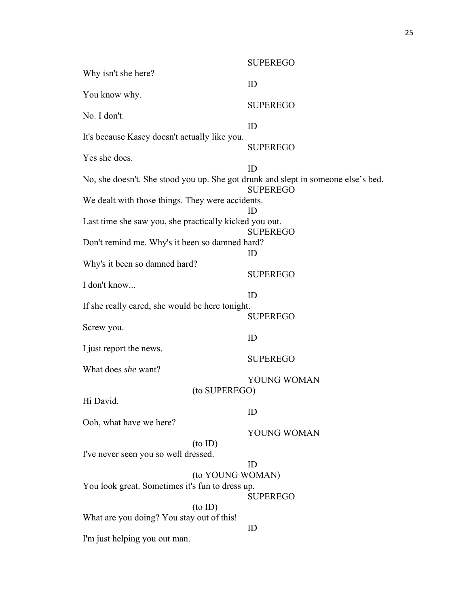|                                                                                   | <b>SUPEREGO</b> |  |  |  |
|-----------------------------------------------------------------------------------|-----------------|--|--|--|
| Why isn't she here?                                                               |                 |  |  |  |
|                                                                                   | ID              |  |  |  |
| You know why.                                                                     |                 |  |  |  |
|                                                                                   | <b>SUPEREGO</b> |  |  |  |
| No. I don't.                                                                      |                 |  |  |  |
| It's because Kasey doesn't actually like you.                                     | ID              |  |  |  |
|                                                                                   | <b>SUPEREGO</b> |  |  |  |
| Yes she does.                                                                     |                 |  |  |  |
|                                                                                   | ID              |  |  |  |
| No, she doesn't. She stood you up. She got drunk and slept in someone else's bed. | <b>SUPEREGO</b> |  |  |  |
| We dealt with those things. They were accidents.<br>ID                            |                 |  |  |  |
| Last time she saw you, she practically kicked you out.<br><b>SUPEREGO</b>         |                 |  |  |  |
| Don't remind me. Why's it been so damned hard?                                    |                 |  |  |  |
|                                                                                   | ID              |  |  |  |
| Why's it been so damned hard?                                                     |                 |  |  |  |
|                                                                                   | <b>SUPEREGO</b> |  |  |  |
| I don't know                                                                      | ID              |  |  |  |
| If she really cared, she would be here tonight.                                   |                 |  |  |  |
|                                                                                   | <b>SUPEREGO</b> |  |  |  |
| Screw you.                                                                        |                 |  |  |  |
|                                                                                   | ID              |  |  |  |
| I just report the news.                                                           |                 |  |  |  |
|                                                                                   | <b>SUPEREGO</b> |  |  |  |
| What does she want?                                                               | YOUNG WOMAN     |  |  |  |
| (to SUPEREGO)                                                                     |                 |  |  |  |
| Hi David.                                                                         |                 |  |  |  |
|                                                                                   | ID              |  |  |  |
| Ooh, what have we here?                                                           |                 |  |  |  |
|                                                                                   | YOUNG WOMAN     |  |  |  |
| $(to$ ID $)$                                                                      |                 |  |  |  |
| I've never seen you so well dressed.                                              |                 |  |  |  |
|                                                                                   | ID              |  |  |  |
| (to YOUNG WOMAN)<br>You look great. Sometimes it's fun to dress up.               |                 |  |  |  |
|                                                                                   | <b>SUPEREGO</b> |  |  |  |
| $(to$ ID)                                                                         |                 |  |  |  |
| What are you doing? You stay out of this!                                         |                 |  |  |  |
|                                                                                   | ID              |  |  |  |
| I'm just helping you out man.                                                     |                 |  |  |  |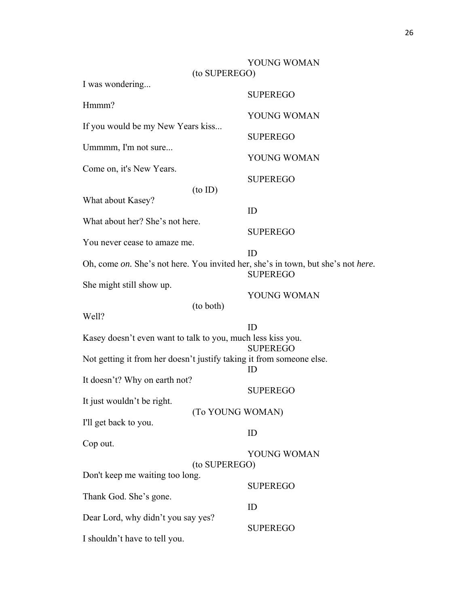|                                                                                  | (to SUPEREGO) | YOUNG WOMAN     |  |  |
|----------------------------------------------------------------------------------|---------------|-----------------|--|--|
| I was wondering                                                                  |               |                 |  |  |
|                                                                                  |               | <b>SUPEREGO</b> |  |  |
| Hmmm?                                                                            |               | YOUNG WOMAN     |  |  |
| If you would be my New Years kiss                                                |               |                 |  |  |
| Ummmm, I'm not sure                                                              |               | <b>SUPEREGO</b> |  |  |
|                                                                                  |               | YOUNG WOMAN     |  |  |
| Come on, it's New Years.                                                         |               | <b>SUPEREGO</b> |  |  |
|                                                                                  | $(to$ ID $)$  |                 |  |  |
| What about Kasey?                                                                |               |                 |  |  |
| What about her? She's not here.                                                  |               | ID              |  |  |
|                                                                                  |               | <b>SUPEREGO</b> |  |  |
| You never cease to amaze me.                                                     |               | ID              |  |  |
| Oh, come on. She's not here. You invited her, she's in town, but she's not here. |               |                 |  |  |
|                                                                                  |               | <b>SUPEREGO</b> |  |  |
| She might still show up.                                                         |               | YOUNG WOMAN     |  |  |
|                                                                                  | (to both)     |                 |  |  |
| Well?                                                                            |               |                 |  |  |
| ID<br>Kasey doesn't even want to talk to you, much less kiss you.                |               |                 |  |  |
|                                                                                  |               | <b>SUPEREGO</b> |  |  |
| Not getting it from her doesn't justify taking it from someone else.             |               |                 |  |  |
| ID<br>It doesn't? Why on earth not?                                              |               |                 |  |  |
|                                                                                  |               | <b>SUPEREGO</b> |  |  |
| It just wouldn't be right.<br>(To YOUNG WOMAN)                                   |               |                 |  |  |
| I'll get back to you.                                                            |               |                 |  |  |
|                                                                                  |               |                 |  |  |
| Cop out.                                                                         |               | ID              |  |  |
|                                                                                  |               | YOUNG WOMAN     |  |  |
|                                                                                  | (to SUPEREGO) |                 |  |  |
| Don't keep me waiting too long.                                                  |               |                 |  |  |
| Thank God. She's gone.                                                           |               | <b>SUPEREGO</b> |  |  |
|                                                                                  |               | ID              |  |  |
| Dear Lord, why didn't you say yes?                                               |               | <b>SUPEREGO</b> |  |  |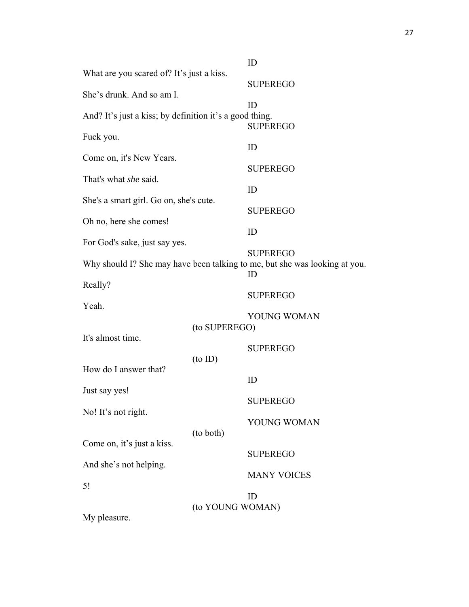| What are you scared of? It's just a kiss.               |                  | ID                                                                         |
|---------------------------------------------------------|------------------|----------------------------------------------------------------------------|
|                                                         |                  | <b>SUPEREGO</b>                                                            |
| She's drunk. And so am I.                               |                  |                                                                            |
|                                                         |                  | ID                                                                         |
| And? It's just a kiss; by definition it's a good thing. |                  | <b>SUPEREGO</b>                                                            |
| Fuck you.                                               |                  |                                                                            |
| Come on, it's New Years.                                |                  | ID                                                                         |
|                                                         |                  | <b>SUPEREGO</b>                                                            |
| That's what <i>she</i> said.                            |                  | ID                                                                         |
| She's a smart girl. Go on, she's cute.                  |                  |                                                                            |
| Oh no, here she comes!                                  |                  | <b>SUPEREGO</b>                                                            |
|                                                         |                  | ID                                                                         |
| For God's sake, just say yes.                           |                  | <b>SUPEREGO</b>                                                            |
|                                                         |                  | Why should I? She may have been talking to me, but she was looking at you. |
| Really?                                                 |                  | ID                                                                         |
|                                                         |                  | <b>SUPEREGO</b>                                                            |
| Yeah.                                                   |                  | YOUNG WOMAN                                                                |
| (to SUPEREGO)                                           |                  |                                                                            |
| It's almost time.                                       |                  | <b>SUPEREGO</b>                                                            |
|                                                         | $(to$ ID $)$     |                                                                            |
| How do I answer that?                                   |                  | ID                                                                         |
| Just say yes!                                           |                  |                                                                            |
| No! It's not right.                                     |                  | <b>SUPEREGO</b>                                                            |
|                                                         |                  | YOUNG WOMAN                                                                |
| Come on, it's just a kiss.                              | (to both)        |                                                                            |
|                                                         |                  | <b>SUPEREGO</b>                                                            |
| And she's not helping.                                  |                  | <b>MANY VOICES</b>                                                         |
| 5!                                                      |                  |                                                                            |
|                                                         | (to YOUNG WOMAN) | ID                                                                         |
| My pleasure.                                            |                  |                                                                            |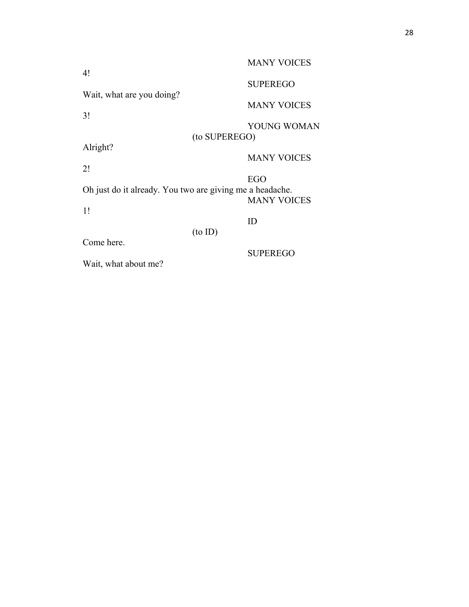|                                                                                       | <b>MANY VOICES</b> |  |  |
|---------------------------------------------------------------------------------------|--------------------|--|--|
| 4!                                                                                    | <b>SUPEREGO</b>    |  |  |
| Wait, what are you doing?                                                             | <b>MANY VOICES</b> |  |  |
| 3!                                                                                    | YOUNG WOMAN        |  |  |
|                                                                                       | (to SUPEREGO)      |  |  |
| Alright?                                                                              | <b>MANY VOICES</b> |  |  |
| 2!                                                                                    |                    |  |  |
| EGO<br>Oh just do it already. You two are giving me a headache.<br><b>MANY VOICES</b> |                    |  |  |
| 1!                                                                                    | ID                 |  |  |
|                                                                                       | $(to$ ID $)$       |  |  |
| Come here.<br>Wait, what about me?                                                    | <b>SUPEREGO</b>    |  |  |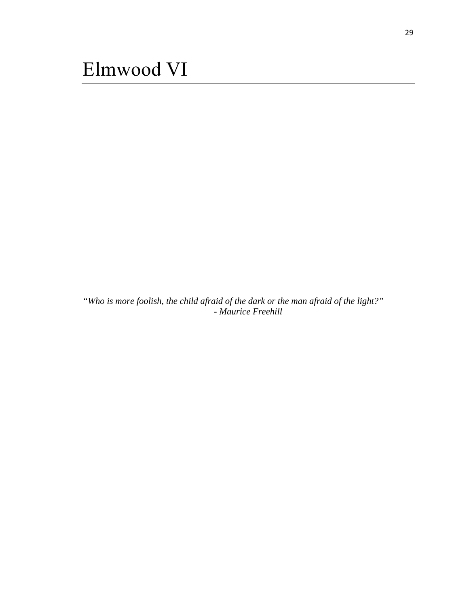<span id="page-34-0"></span>*"Who is more foolish, the child afraid of the dark or the man afraid of the light?" - Maurice Freehill*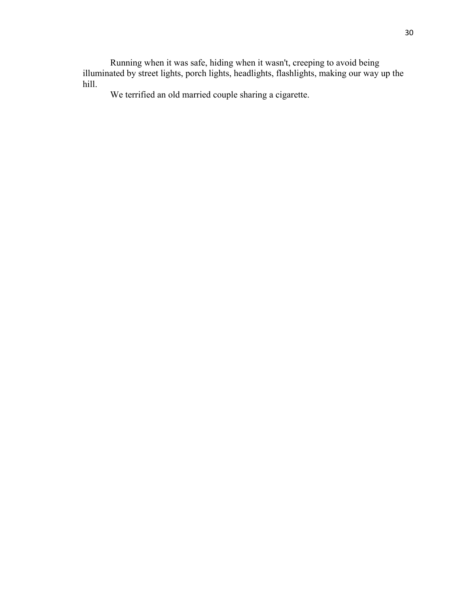Running when it was safe, hiding when it wasn't, creeping to avoid being illuminated by street lights, porch lights, headlights, flashlights, making our way up the hill.

We terrified an old married couple sharing a cigarette.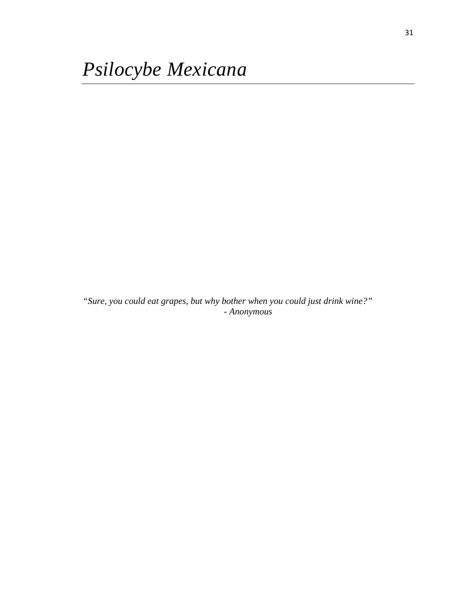<span id="page-36-0"></span>*"Sure, you could eat grapes, but why bother when you could just drink wine?" - Anonymous*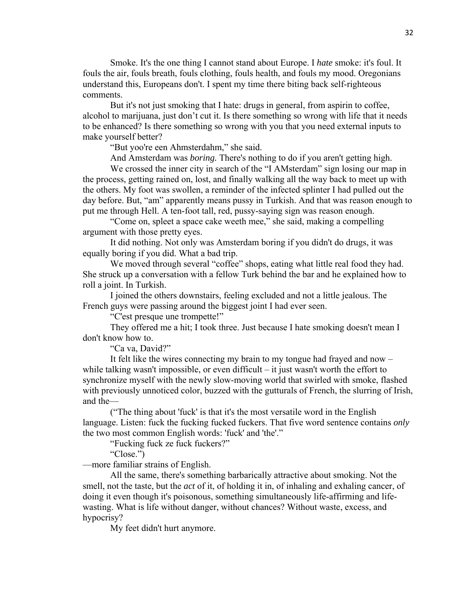Smoke. It's the one thing I cannot stand about Europe. I *hate* smoke: it's foul. It fouls the air, fouls breath, fouls clothing, fouls health, and fouls my mood. Oregonians understand this, Europeans don't. I spent my time there biting back self-righteous comments.

 But it's not just smoking that I hate: drugs in general, from aspirin to coffee, alcohol to marijuana, just don't cut it. Is there something so wrong with life that it needs to be enhanced? Is there something so wrong with you that you need external inputs to make yourself better?

"But yoo're een Ahmsterdahm," she said.

And Amsterdam was *boring.* There's nothing to do if you aren't getting high.

 We crossed the inner city in search of the "I AMsterdam" sign losing our map in the process, getting rained on, lost, and finally walking all the way back to meet up with the others. My foot was swollen, a reminder of the infected splinter I had pulled out the day before. But, "am" apparently means pussy in Turkish. And that was reason enough to put me through Hell. A ten-foot tall, red, pussy-saying sign was reason enough.

 "Come on, spleet a space cake weeth mee," she said, making a compelling argument with those pretty eyes.

 It did nothing. Not only was Amsterdam boring if you didn't do drugs, it was equally boring if you did. What a bad trip.

We moved through several "coffee" shops, eating what little real food they had. She struck up a conversation with a fellow Turk behind the bar and he explained how to roll a joint. In Turkish.

 I joined the others downstairs, feeling excluded and not a little jealous. The French guys were passing around the biggest joint I had ever seen.

"C'est presque une trompette!"

 They offered me a hit; I took three. Just because I hate smoking doesn't mean I don't know how to.

"Ca va, David?"

 It felt like the wires connecting my brain to my tongue had frayed and now – while talking wasn't impossible, or even difficult – it just wasn't worth the effort to synchronize myself with the newly slow-moving world that swirled with smoke, flashed with previously unnoticed color, buzzed with the gutturals of French, the slurring of Irish, and the—

 ("The thing about 'fuck' is that it's the most versatile word in the English language. Listen: fuck the fucking fucked fuckers. That five word sentence contains *only* the two most common English words: 'fuck' and 'the'."

"Fucking fuck ze fuck fuckers?"

"Close.")

—more familiar strains of English.

 All the same, there's something barbarically attractive about smoking. Not the smell, not the taste, but the *act* of it, of holding it in, of inhaling and exhaling cancer, of doing it even though it's poisonous, something simultaneously life-affirming and lifewasting. What is life without danger, without chances? Without waste, excess, and hypocrisy?

My feet didn't hurt anymore.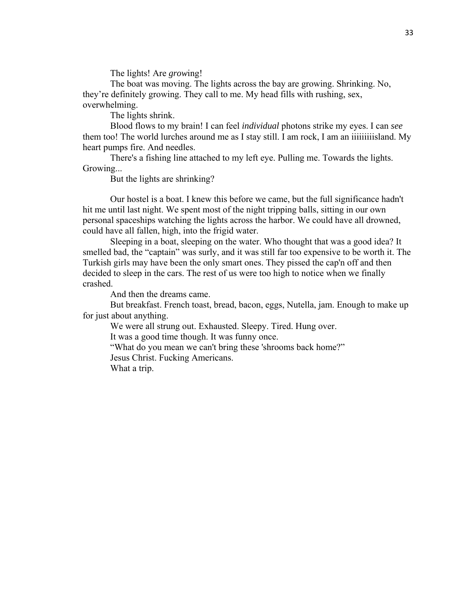The lights! Are *grow*ing!

 The boat was moving. The lights across the bay are growing. Shrinking. No, they're definitely growing. They call to me. My head fills with rushing, sex, overwhelming.

The lights shrink.

 Blood flows to my brain! I can feel *individual* photons strike my eyes. I can *see* them too! The world lurches around me as I stay still. I am rock, I am an iiiiiiiiisland. My heart pumps fire. And needles.

 There's a fishing line attached to my left eye. Pulling me. Towards the lights. Growing...

But the lights are shrinking?

 Our hostel is a boat. I knew this before we came, but the full significance hadn't hit me until last night. We spent most of the night tripping balls, sitting in our own personal spaceships watching the lights across the harbor. We could have all drowned, could have all fallen, high, into the frigid water.

 Sleeping in a boat, sleeping on the water. Who thought that was a good idea? It smelled bad, the "captain" was surly, and it was still far too expensive to be worth it. The Turkish girls may have been the only smart ones. They pissed the cap'n off and then decided to sleep in the cars. The rest of us were too high to notice when we finally crashed.

And then the dreams came.

 But breakfast. French toast, bread, bacon, eggs, Nutella, jam. Enough to make up for just about anything.

We were all strung out. Exhausted. Sleepy. Tired. Hung over.

It was a good time though. It was funny once.

"What do you mean we can't bring these 'shrooms back home?"

Jesus Christ. Fucking Americans.

What a trip.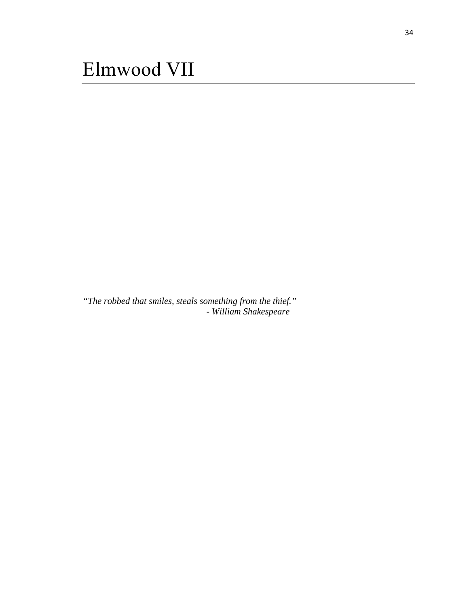<span id="page-39-0"></span>*"The robbed that smiles, steals something from the thief." - William Shakespeare*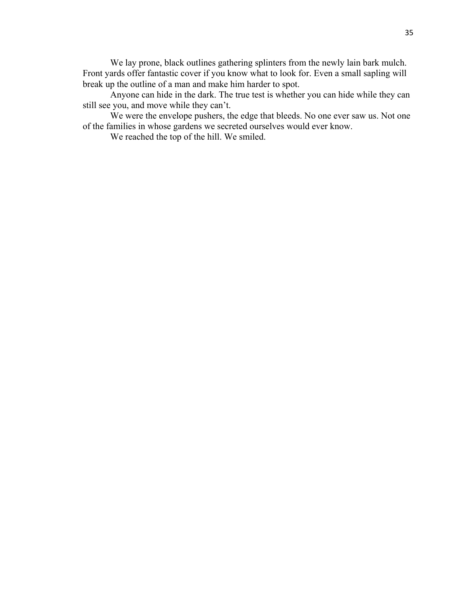We lay prone, black outlines gathering splinters from the newly lain bark mulch. Front yards offer fantastic cover if you know what to look for. Even a small sapling will break up the outline of a man and make him harder to spot.

 Anyone can hide in the dark. The true test is whether you can hide while they can still see you, and move while they can't.

 We were the envelope pushers, the edge that bleeds. No one ever saw us. Not one of the families in whose gardens we secreted ourselves would ever know.

We reached the top of the hill. We smiled.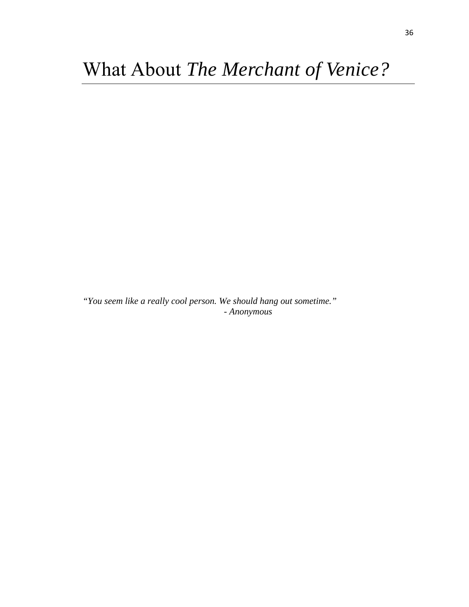<span id="page-41-0"></span>*"You seem like a really cool person. We should hang out sometime." - Anonymous*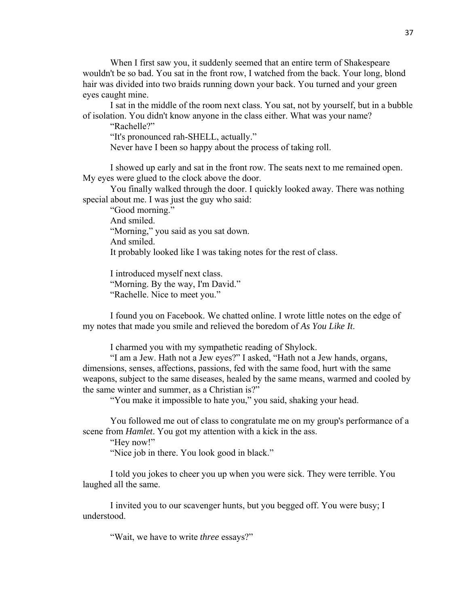When I first saw you, it suddenly seemed that an entire term of Shakespeare wouldn't be so bad. You sat in the front row, I watched from the back. Your long, blond hair was divided into two braids running down your back. You turned and your green eyes caught mine.

 I sat in the middle of the room next class. You sat, not by yourself, but in a bubble of isolation. You didn't know anyone in the class either. What was your name?

"Rachelle?"

"It's pronounced rah-SHELL, actually."

Never have I been so happy about the process of taking roll.

 I showed up early and sat in the front row. The seats next to me remained open. My eyes were glued to the clock above the door.

 You finally walked through the door. I quickly looked away. There was nothing special about me. I was just the guy who said:

 "Good morning." And smiled. "Morning," you said as you sat down. And smiled. It probably looked like I was taking notes for the rest of class.

 I introduced myself next class. "Morning. By the way, I'm David." "Rachelle. Nice to meet you."

 I found you on Facebook. We chatted online. I wrote little notes on the edge of my notes that made you smile and relieved the boredom of *As You Like It*.

I charmed you with my sympathetic reading of Shylock.

 "I am a Jew. Hath not a Jew eyes?" I asked, "Hath not a Jew hands, organs, dimensions, senses, affections, passions, fed with the same food, hurt with the same weapons, subject to the same diseases, healed by the same means, warmed and cooled by the same winter and summer, as a Christian is?"

"You make it impossible to hate you," you said, shaking your head.

 You followed me out of class to congratulate me on my group's performance of a scene from *Hamlet*. You got my attention with a kick in the ass.

"Hey now!"

"Nice job in there. You look good in black."

 I told you jokes to cheer you up when you were sick. They were terrible. You laughed all the same.

 I invited you to our scavenger hunts, but you begged off. You were busy; I understood.

"Wait, we have to write *three* essays?"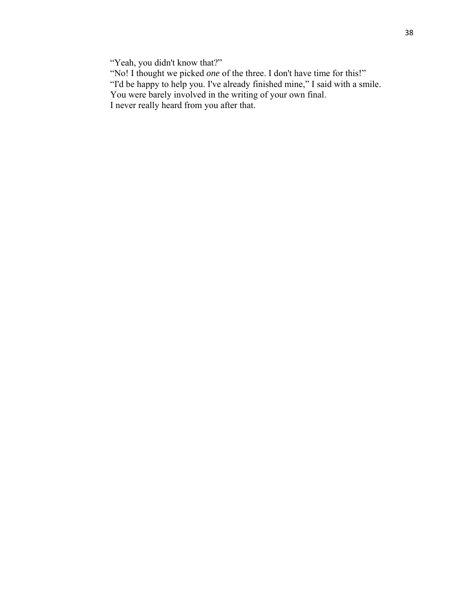"Yeah, you didn't know that?"

- "No! I thought we picked *one* of the three. I don't have time for this!"
- "I'd be happy to help you. I've already finished mine," I said with a smile.
	- You were barely involved in the writing of your own final.
	- I never really heard from you after that.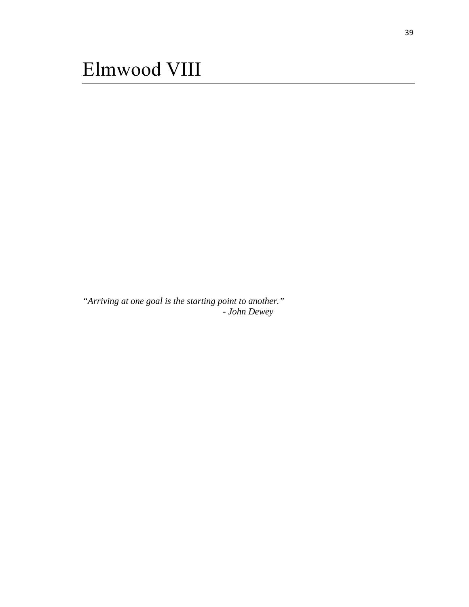<span id="page-44-0"></span>*"Arriving at one goal is the starting point to another." - John Dewey*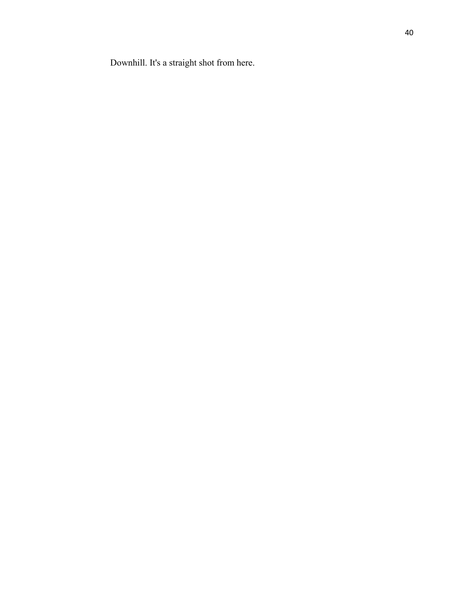Downhill. It's a straight shot from here.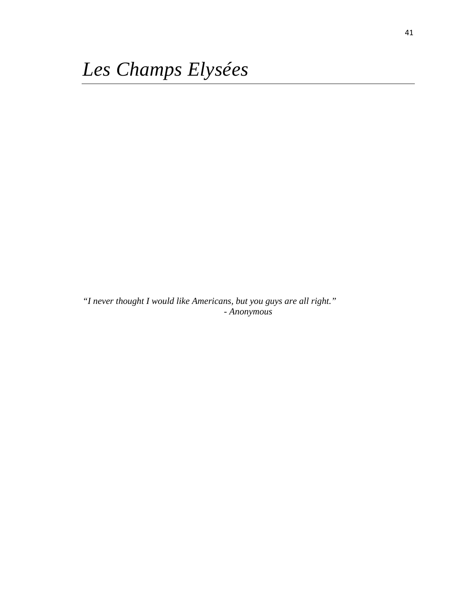<span id="page-46-0"></span>*"I never thought I would like Americans, but you guys are all right." - Anonymous*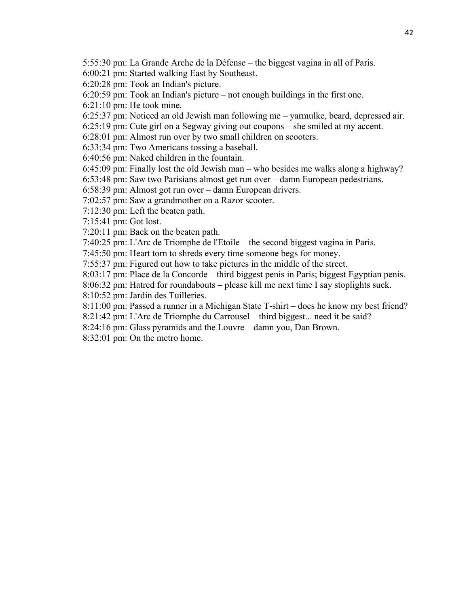5:55:30 pm: La Grande Arche de la Défense – the biggest vagina in all of Paris.

6:00:21 pm: Started walking East by Southeast.

6:20:28 pm: Took an Indian's picture.

6:20:59 pm: Took an Indian's picture – not enough buildings in the first one.

- 6:21:10 pm: He took mine.
- 6:25:37 pm: Noticed an old Jewish man following me yarmulke, beard, depressed air.
- 6:25:19 pm: Cute girl on a Segway giving out coupons she smiled at my accent.
- 6:28:01 pm: Almost run over by two small children on scooters.
- 6:33:34 pm: Two Americans tossing a baseball.
- 6:40:56 pm: Naked children in the fountain.
- 6:45:09 pm: Finally lost the old Jewish man who besides me walks along a highway?
- 6:53:48 pm: Saw two Parisians almost get run over damn European pedestrians.
- 6:58:39 pm: Almost got run over damn European drivers.
- 7:02:57 pm: Saw a grandmother on a Razor scooter.
- 7:12:30 pm: Left the beaten path.
- 7:15:41 pm: Got lost.
- 7:20:11 pm: Back on the beaten path.
- 7:40:25 pm: L'Arc de Triomphe de l'Etoile the second biggest vagina in Paris.
- 7:45:50 pm: Heart torn to shreds every time someone begs for money.
- 7:55:37 pm: Figured out how to take pictures in the middle of the street.
- 8:03:17 pm: Place de la Concorde third biggest penis in Paris; biggest Egyptian penis.
- 8:06:32 pm: Hatred for roundabouts please kill me next time I say stoplights suck.
- 8:10:52 pm: Jardin des Tuilleries.
- 8:11:00 pm: Passed a runner in a Michigan State T-shirt does he know my best friend?
- 8:21:42 pm: L'Arc de Triomphe du Carrousel third biggest... need it be said?
- 8:24:16 pm: Glass pyramids and the Louvre damn you, Dan Brown.
- 8:32:01 pm: On the metro home.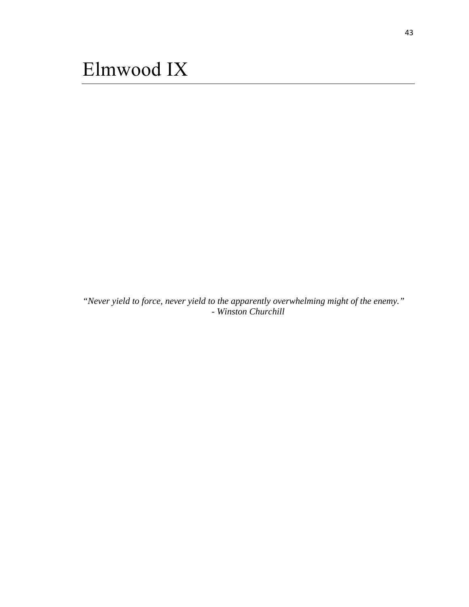<span id="page-48-0"></span>*"Never yield to force, never yield to the apparently overwhelming might of the enemy." - Winston Churchill*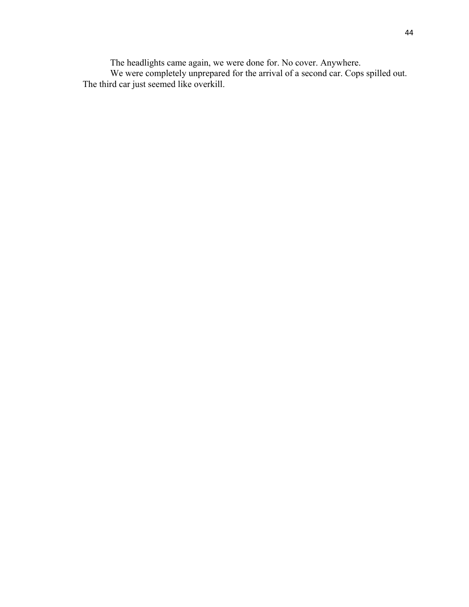The headlights came again, we were done for. No cover. Anywhere. We were completely unprepared for the arrival of a second car. Cops spilled out. The third car just seemed like overkill.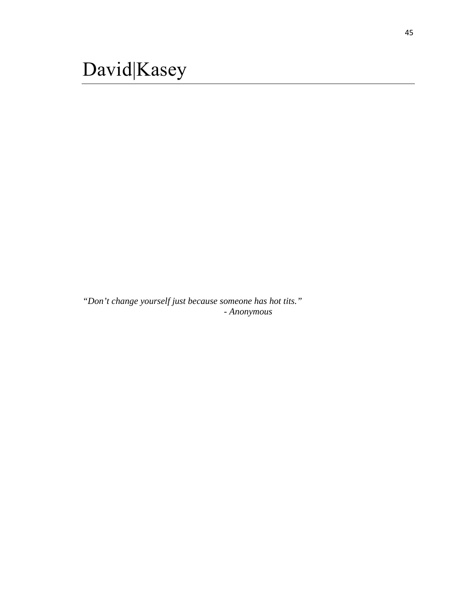<span id="page-50-0"></span>*"Don't change yourself just because someone has hot tits." - Anonymous*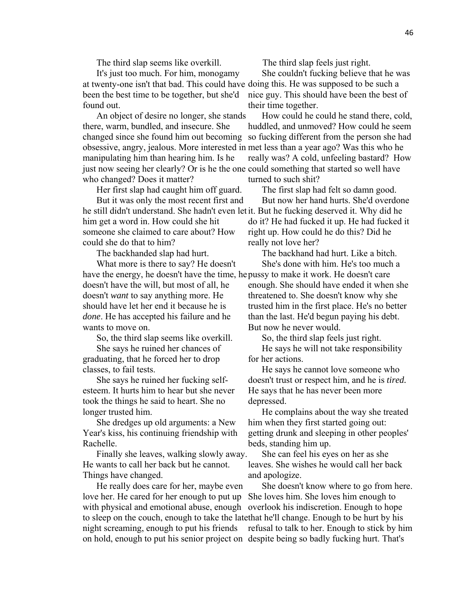The third slap seems like overkill.

It's just too much. For him, monogamy at twenty-one isn't that bad. This could have doing this. He was supposed to be such a been the best time to be together, but she'd found out.

An object of desire no longer, she stands there, warm, bundled, and insecure. She changed since she found him out becoming obsessive, angry, jealous. More interested in met less than a year ago? Was this who he manipulating him than hearing him. Is he just now seeing her clearly? Or is he the one could something that started so well have who changed? Does it matter?

Her first slap had caught him off guard.

But it was only the most recent first and he still didn't understand. She hadn't even let it. But he fucking deserved it. Why did he him get a word in. How could she hit someone she claimed to care about? How could she do that to him?

The backhanded slap had hurt.

What more is there to say? He doesn't have the energy, he doesn't have the time, he pussy to make it work. He doesn't care doesn't have the will, but most of all, he doesn't *want* to say anything more. He should have let her end it because he is *done*. He has accepted his failure and he wants to move on.

So, the third slap seems like overkill.

She says he ruined her chances of graduating, that he forced her to drop classes, to fail tests.

She says he ruined her fucking selfesteem. It hurts him to hear but she never took the things he said to heart. She no longer trusted him.

She dredges up old arguments: a New Year's kiss, his continuing friendship with Rachelle.

Finally she leaves, walking slowly away. He wants to call her back but he cannot. Things have changed.

He really does care for her, maybe even love her. He cared for her enough to put up with physical and emotional abuse, enough to sleep on the couch, enough to take the late that he'll change. Enough to be hurt by his night screaming, enough to put his friends on hold, enough to put his senior project on despite being so badly fucking hurt. That's

The third slap feels just right.

She couldn't fucking believe that he was nice guy. This should have been the best of their time together.

How could he could he stand there, cold, huddled, and unmoved? How could he seem so fucking different from the person she had really was? A cold, unfeeling bastard? How turned to such shit?

The first slap had felt so damn good. But now her hand hurts. She'd overdone

do it? He had fucked it up. He had fucked it right up. How could he do this? Did he really not love her?

The backhand had hurt. Like a bitch. She's done with him. He's too much a enough. She should have ended it when she threatened to. She doesn't know why she trusted him in the first place. He's no better than the last. He'd begun paying his debt. But now he never would.

So, the third slap feels just right. He says he will not take responsibility for her actions.

He says he cannot love someone who doesn't trust or respect him, and he is *tired.*  He says that he has never been more depressed.

He complains about the way she treated him when they first started going out: getting drunk and sleeping in other peoples' beds, standing him up.

She can feel his eyes on her as she leaves. She wishes he would call her back and apologize.

She doesn't know where to go from here. She loves him. She loves him enough to overlook his indiscretion. Enough to hope refusal to talk to her. Enough to stick by him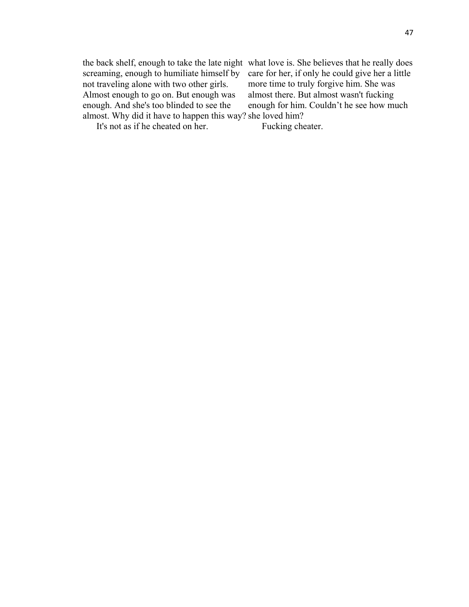the back shelf, enough to take the late night what love is. She believes that he really does screaming, enough to humiliate himself by not traveling alone with two other girls. Almost enough to go on. But enough was enough. And she's too blinded to see the almost. Why did it have to happen this way? she loved him? care for her, if only he could give her a little more time to truly forgive him. She was almost there. But almost wasn't fucking enough for him. Couldn't he see how much

It's not as if he cheated on her.

Fucking cheater.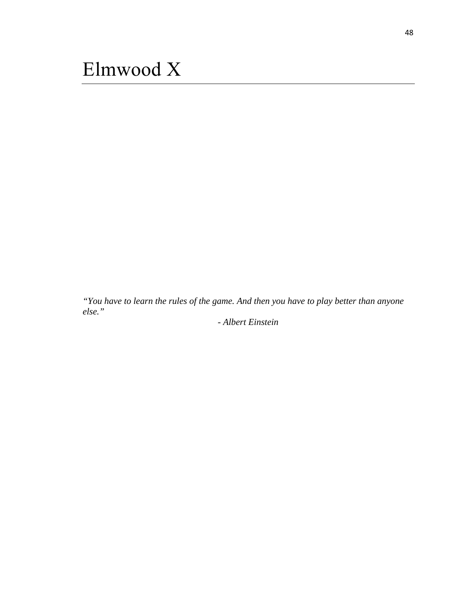<span id="page-53-0"></span>*"You have to learn the rules of the game. And then you have to play better than anyone else."* 

*- Albert Einstein*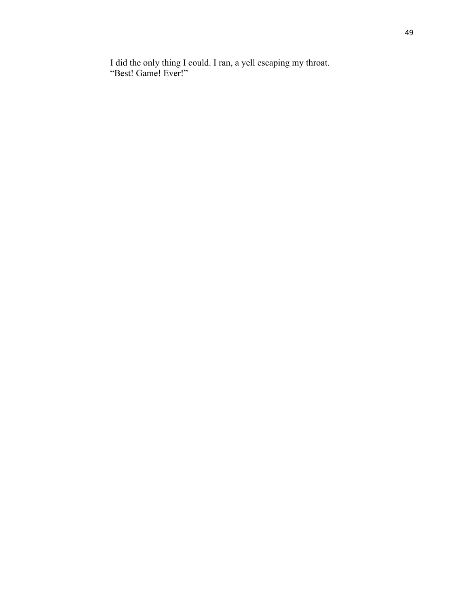I did the only thing I could. I ran, a yell escaping my throat. "Best! Game! Ever!"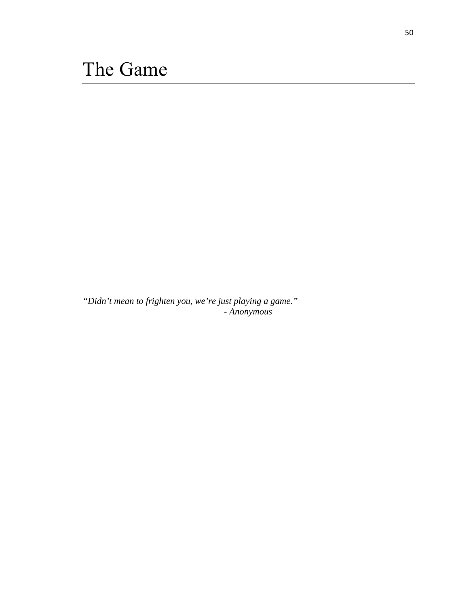<span id="page-55-0"></span>*"Didn't mean to frighten you, we're just playing a game." - Anonymous*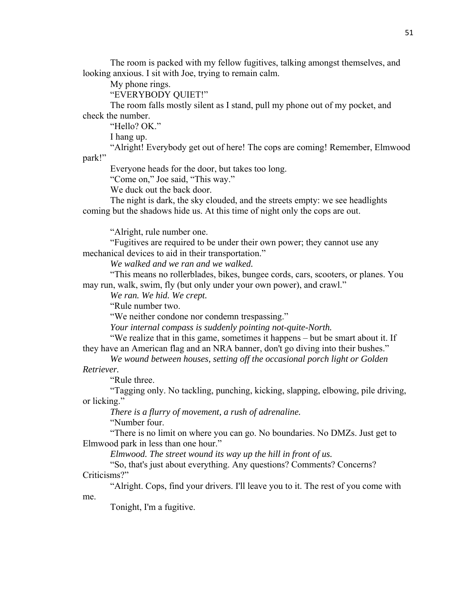The room is packed with my fellow fugitives, talking amongst themselves, and looking anxious. I sit with Joe, trying to remain calm.

My phone rings.

"EVERYBODY QUIET!"

 The room falls mostly silent as I stand, pull my phone out of my pocket, and check the number.

"Hello? OK."

I hang up.

 "Alright! Everybody get out of here! The cops are coming! Remember, Elmwood park!"

Everyone heads for the door, but takes too long.

"Come on," Joe said, "This way."

We duck out the back door.

 The night is dark, the sky clouded, and the streets empty: we see headlights coming but the shadows hide us. At this time of night only the cops are out.

"Alright, rule number one.

 "Fugitives are required to be under their own power; they cannot use any mechanical devices to aid in their transportation."

 *We walked and we ran and we walked.* 

 "This means no rollerblades, bikes, bungee cords, cars, scooters, or planes. You may run, walk, swim, fly (but only under your own power), and crawl."

 *We ran. We hid. We crept.* 

"Rule number two.

"We neither condone nor condemn trespassing."

 *Your internal compass is suddenly pointing not-quite-North.* 

 "We realize that in this game, sometimes it happens – but be smart about it. If they have an American flag and an NRA banner, don't go diving into their bushes."

 *We wound between houses, setting off the occasional porch light or Golden* 

*Retriever.* 

"Rule three.

 "Tagging only. No tackling, punching, kicking, slapping, elbowing, pile driving, or licking."

 *There is a flurry of movement, a rush of adrenaline.* 

"Number four.

 "There is no limit on where you can go. No boundaries. No DMZs. Just get to Elmwood park in less than one hour."

 *Elmwood. The street wound its way up the hill in front of us.* 

 "So, that's just about everything. Any questions? Comments? Concerns? Criticisms?"

 "Alright. Cops, find your drivers. I'll leave you to it. The rest of you come with me.

Tonight, I'm a fugitive.